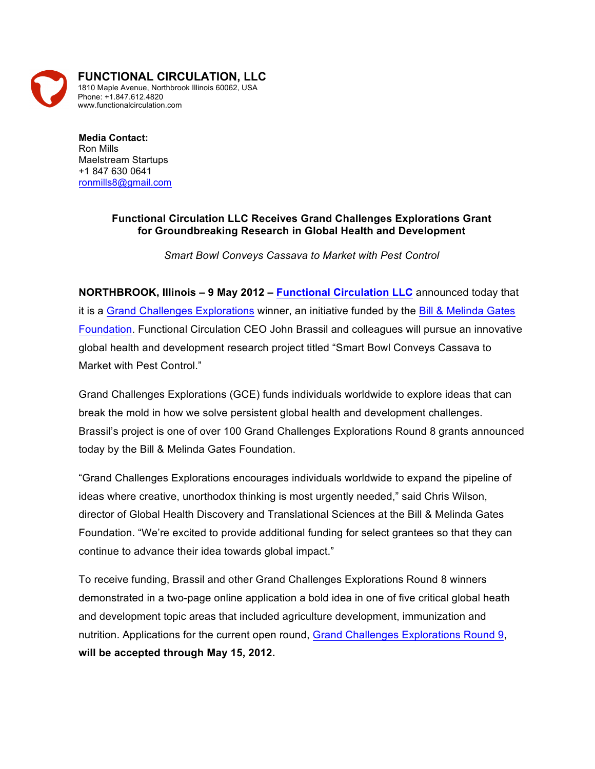

**Media Contact:** Ron Mills Maelstream Startups +1 847 630 0641 ronmills8@gmail.com

## **Functional Circulation LLC Receives Grand Challenges Explorations Grant for Groundbreaking Research in Global Health and Development**

*Smart Bowl Conveys Cassava to Market with Pest Control*

**NORTHBROOK, Illinois – 9 May 2012 – Functional Circulation LLC** announced today that it is a Grand Challenges Explorations winner, an initiative funded by the Bill & Melinda Gates Foundation. Functional Circulation CEO John Brassil and colleagues will pursue an innovative global health and development research project titled "Smart Bowl Conveys Cassava to Market with Pest Control."

Grand Challenges Explorations (GCE) funds individuals worldwide to explore ideas that can break the mold in how we solve persistent global health and development challenges. Brassil's project is one of over 100 Grand Challenges Explorations Round 8 grants announced today by the Bill & Melinda Gates Foundation.

"Grand Challenges Explorations encourages individuals worldwide to expand the pipeline of ideas where creative, unorthodox thinking is most urgently needed," said Chris Wilson, director of Global Health Discovery and Translational Sciences at the Bill & Melinda Gates Foundation. "We're excited to provide additional funding for select grantees so that they can continue to advance their idea towards global impact."

To receive funding, Brassil and other Grand Challenges Explorations Round 8 winners demonstrated in a two-page online application a bold idea in one of five critical global heath and development topic areas that included agriculture development, immunization and nutrition. Applications for the current open round, Grand Challenges Explorations Round 9, **will be accepted through May 15, 2012.**